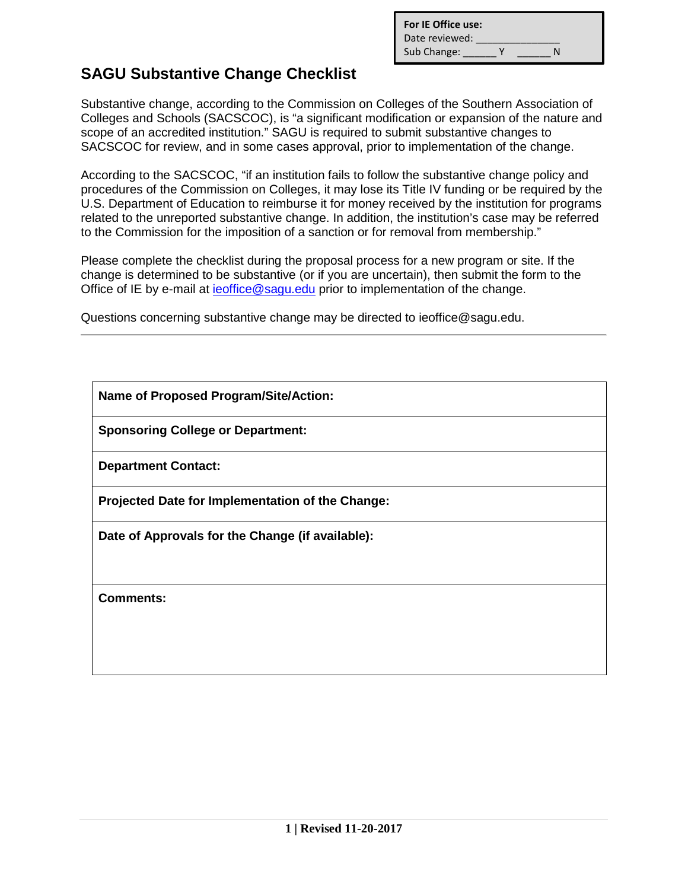| For IE Office use: |   |   |
|--------------------|---|---|
| Date reviewed:     |   |   |
| Sub Change:        | v | N |

## **SAGU Substantive Change Checklist**

Substantive change, according to the Commission on Colleges of the Southern Association of Colleges and Schools (SACSCOC), is "a significant modification or expansion of the nature and scope of an accredited institution." SAGU is required to submit substantive changes to SACSCOC for review, and in some cases approval, prior to implementation of the change.

According to the SACSCOC, "if an institution fails to follow the substantive change policy and procedures of the Commission on Colleges, it may lose its Title IV funding or be required by the U.S. Department of Education to reimburse it for money received by the institution for programs related to the unreported substantive change. In addition, the institution's case may be referred to the Commission for the imposition of a sanction or for removal from membership."

Please complete the checklist during the proposal process for a new program or site. If the change is determined to be substantive (or if you are uncertain), then submit the form to the Office of IE by e-mail at [ieoffice@sagu.edu](mailto:ieoffice@sagu.edu) prior to implementation of the change.

Questions concerning substantive change may be directed to ieoffice@sagu.edu.

**Name of Proposed Program/Site/Action:** 

**Sponsoring College or Department:** 

**Department Contact:** 

**Projected Date for Implementation of the Change:** 

**Date of Approvals for the Change (if available):** 

**Comments:**